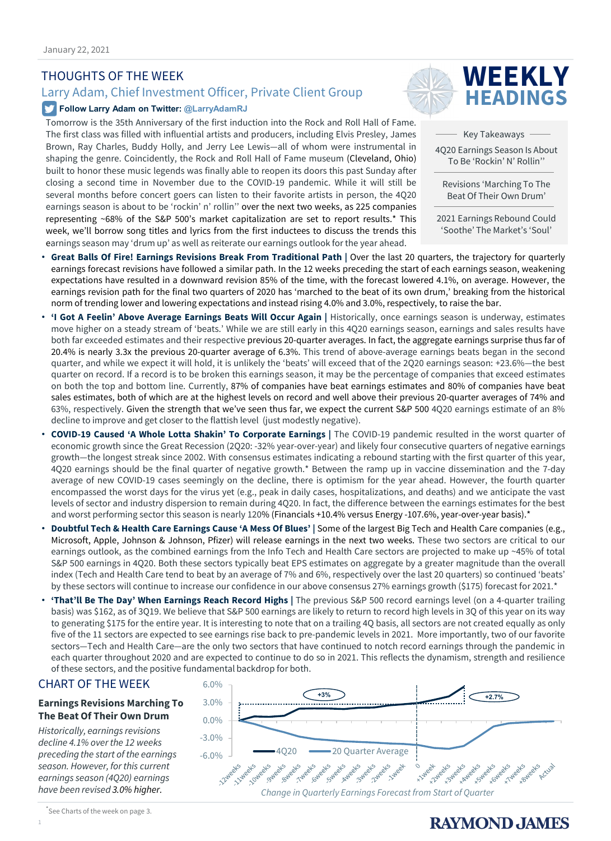### THOUGHTS OF THE WEEK

### Larry Adam, Chief Investment Officer, Private Client Group

#### **Follow Larry Adam on Twitter: @LarryAdamRJ**

Tomorrow is the 35th Anniversary of the first induction into the Rock and Roll Hall of Fame. The first class was filled with influential artists and producers, including Elvis Presley, James Brown, Ray Charles, Buddy Holly, and Jerry Lee Lewis—all of whom were instrumental in shaping the genre. Coincidently, the Rock and Roll Hall of Fame museum (Cleveland, Ohio) built to honor these music legends was finally able to reopen its doors this past Sunday after closing a second time in November due to the COVID-19 pandemic. While it will still be several months before concert goers can listen to their favorite artists in person, the 4Q20 earnings season is about to be 'rockin' n' rollin'' over the next two weeks, as 225 companies representing ~68% of the S&P 500's market capitalization are set to report results.\* This week, we'll borrow song titles and lyrics from the first inductees to discuss the trends this earnings season may 'drum up' as well as reiterate our earnings outlook for the year ahead.



Key Takeaways 4Q20 Earnings Season Is About To Be 'Rockin' N' Rollin''

Revisions 'Marching To The Beat Of Their Own Drum'

2021 Earnings Rebound Could 'Soothe' The Market's 'Soul'

- **Great Balls Of Fire! Earnings Revisions Break From Traditional Path |** Over the last 20 quarters, the trajectory for quarterly earnings forecast revisions have followed a similar path. In the 12 weeks preceding the start of each earnings season, weakening expectations have resulted in a downward revision 85% of the time, with the forecast lowered 4.1%, on average. However, the earnings revision path for the final two quarters of 2020 has 'marched to the beat of its own drum,' breaking from the historical norm of trending lower and lowering expectations and instead rising 4.0% and 3.0%, respectively, to raise the bar.
- **'I Got A Feelin' Above Average Earnings Beats Will Occur Again |** Historically, once earnings season is underway, estimates move higher on a steady stream of 'beats.' While we are still early in this 4Q20 earnings season, earnings and sales results have both far exceeded estimates and their respective previous 20-quarter averages. In fact, the aggregate earnings surprise thus far of 20.4% is nearly 3.3x the previous 20-quarter average of 6.3%. This trend of above-average earnings beats began in the second quarter, and while we expect it will hold, it is unlikely the 'beats' will exceed that of the 2Q20 earnings season: +23.6%—the best quarter on record. If a record is to be broken this earnings season, it may be the percentage of companies that exceed estimates on both the top and bottom line. Currently, 87% of companies have beat earnings estimates and 80% of companies have beat sales estimates, both of which are at the highest levels on record and well above their previous 20-quarter averages of 74% and 63%, respectively. Given the strength that we've seen thus far, we expect the current S&P 500 4Q20 earnings estimate of an 8% decline to improve and get closer to the flattish level (just modestly negative).
- **COVID-19 Caused 'A Whole Lotta Shakin' To Corporate Earnings |** The COVID-19 pandemic resulted in the worst quarter of economic growth since the Great Recession (2Q20: -32% year-over-year) and likely four consecutive quarters of negative earnings growth—the longest streak since 2002. With consensus estimates indicating a rebound starting with the first quarter of this year, 4Q20 earnings should be the final quarter of negative growth.\* Between the ramp up in vaccine dissemination and the 7-day average of new COVID-19 cases seemingly on the decline, there is optimism for the year ahead. However, the fourth quarter encompassed the worst days for the virus yet (e.g., peak in daily cases, hospitalizations, and deaths) and we anticipate the vast levels of sector and industry dispersion to remain during 4Q20. In fact, the difference between the earnings estimates for the best and worst performing sector this season is nearly 120% (Financials +10.4% versus Energy -107.6%, year-over-year basis).\*
- **Doubtful Tech & Health Care Earnings Cause 'A Mess Of Blues' |** Some of the largest Big Tech and Health Care companies (e.g., Microsoft, Apple, Johnson & Johnson, Pfizer) will release earnings in the next two weeks. These two sectors are critical to our earnings outlook, as the combined earnings from the Info Tech and Health Care sectors are projected to make up ~45% of total S&P 500 earnings in 4Q20. Both these sectors typically beat EPS estimates on aggregate by a greater magnitude than the overall index (Tech and Health Care tend to beat by an average of 7% and 6%, respectively over the last 20 quarters) so continued 'beats' by these sectors will continue to increase our confidence in our above consensus 27% earnings growth (\$175) forecast for 2021.\*
- **'That'll Be The Day' When Earnings Reach Record Highs |** The previous S&P 500 record earnings level (on a 4-quarter trailing basis) was \$162, as of 3Q19. We believe that S&P 500 earnings are likely to return to record high levels in 3Q of this year on its way to generating \$175 for the entire year. It is interesting to note that on a trailing 4Q basis, all sectors are not created equally as only five of the 11 sectors are expected to see earnings rise back to pre-pandemic levels in 2021. More importantly, two of our favorite sectors—Tech and Health Care—are the only two sectors that have continued to notch record earnings through the pandemic in each quarter throughout 2020 and are expected to continue to do so in 2021. This reflects the dynamism, strength and resilience of these sectors, and the positive fundamental backdrop for both.

#### CHART OF THE WEEK

#### **Earnings Revisions Marching To The Beat Of Their Own Drum**

*Historically, earnings revisions decline 4.1% over the 12 weeks preceding the start of the earnings season. However, for this current earnings season (4Q20) earnings have been revised 3.0% higher.* 



<sup>\*</sup> See Charts of the week on page 3.

1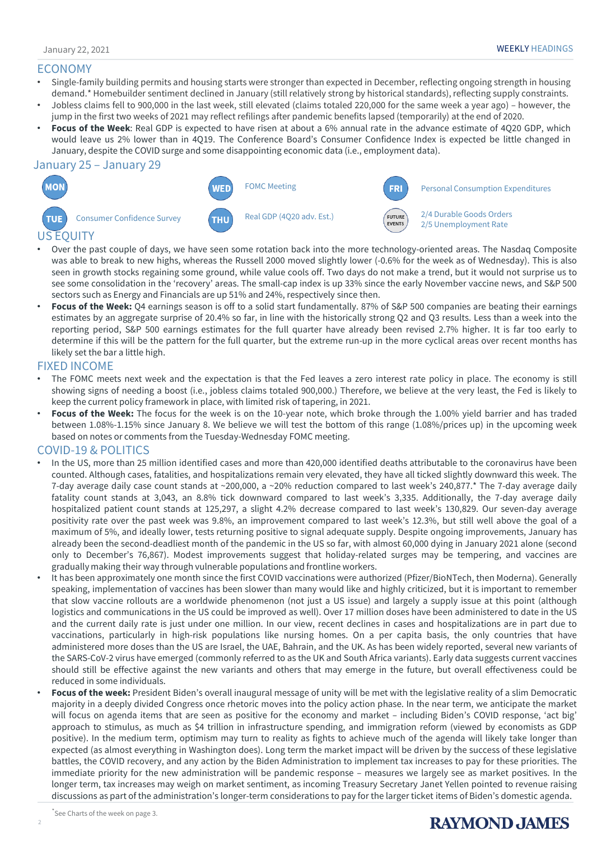#### ECONOMY

- Single-family building permits and housing starts were stronger than expected in December, reflecting ongoing strength in housing demand.\* Homebuilder sentiment declined in January (still relatively strong by historical standards), reflecting supply constraints.
- Jobless claims fell to 900,000 in the last week, still elevated (claims totaled 220,000 for the same week a year ago) however, the jump in the first two weeks of 2021 may reflect refilings after pandemic benefits lapsed (temporarily) at the end of 2020.
- **Focus of the Week**: Real GDP is expected to have risen at about a 6% annual rate in the advance estimate of 4Q20 GDP, which would leave us 2% lower than in 4Q19. The Conference Board's Consumer Confidence Index is expected be little changed in January, despite the COVID surge and some disappointing economic data (i.e., employment data).

#### January 25 – January 29



- Over the past couple of days, we have seen some rotation back into the more technology-oriented areas. The Nasdaq Composite was able to break to new highs, whereas the Russell 2000 moved slightly lower (-0.6% for the week as of Wednesday). This is also seen in growth stocks regaining some ground, while value cools off. Two days do not make a trend, but it would not surprise us to see some consolidation in the 'recovery' areas. The small-cap index is up 33% since the early November vaccine news, and S&P 500 sectors such as Energy and Financials are up 51% and 24%, respectively since then.
- **Focus of the Week:** Q4 earnings season is off to a solid start fundamentally. 87% of S&P 500 companies are beating their earnings estimates by an aggregate surprise of 20.4% so far, in line with the historically strong Q2 and Q3 results. Less than a week into the reporting period, S&P 500 earnings estimates for the full quarter have already been revised 2.7% higher. It is far too early to determine if this will be the pattern for the full quarter, but the extreme run-up in the more cyclical areas over recent months has likely set the bar a little high.

#### FIXED INCOME

- The FOMC meets next week and the expectation is that the Fed leaves a zero interest rate policy in place. The economy is still showing signs of needing a boost (i.e., jobless claims totaled 900,000.) Therefore, we believe at the very least, the Fed is likely to keep the current policy framework in place, with limited risk of tapering, in 2021.
- **Focus of the Week:** The focus for the week is on the 10-year note, which broke through the 1.00% yield barrier and has traded between 1.08%-1.15% since January 8. We believe we will test the bottom of this range (1.08%/prices up) in the upcoming week based on notes or comments from the Tuesday-Wednesday FOMC meeting.

#### COVID-19 & POLITICS

- In the US, more than 25 million identified cases and more than 420,000 identified deaths attributable to the coronavirus have been counted. Although cases, fatalities, and hospitalizations remain very elevated, they have all ticked slightly downward this week. The 7-day average daily case count stands at ~200,000, a ~20% reduction compared to last week's 240,877.\* The 7-day average daily fatality count stands at 3,043, an 8.8% tick downward compared to last week's 3,335. Additionally, the 7-day average daily hospitalized patient count stands at 125,297, a slight 4.2% decrease compared to last week's 130,829. Our seven-day average positivity rate over the past week was 9.8%, an improvement compared to last week's 12.3%, but still well above the goal of a maximum of 5%, and ideally lower, tests returning positive to signal adequate supply. Despite ongoing improvements, January has already been the second-deadliest month of the pandemic in the US so far, with almost 60,000 dying in January 2021 alone (second only to December's 76,867). Modest improvements suggest that holiday-related surges may be tempering, and vaccines are gradually making their way through vulnerable populations and frontline workers.
- It has been approximately one month since the first COVID vaccinations were authorized (Pfizer/BioNTech, then Moderna). Generally speaking, implementation of vaccines has been slower than many would like and highly criticized, but it is important to remember that slow vaccine rollouts are a worldwide phenomenon (not just a US issue) and largely a supply issue at this point (although logistics and communications in the US could be improved as well). Over 17 million doses have been administered to date in the US and the current daily rate is just under one million. In our view, recent declines in cases and hospitalizations are in part due to vaccinations, particularly in high-risk populations like nursing homes. On a per capita basis, the only countries that have administered more doses than the US are Israel, the UAE, Bahrain, and the UK. As has been widely reported, several new variants of the SARS-CoV-2 virus have emerged (commonly referred to as the UK and South Africa variants). Early data suggests current vaccines should still be effective against the new variants and others that may emerge in the future, but overall effectiveness could be reduced in some individuals.
- **Focus of the week:** President Biden's overall inaugural message of unity will be met with the legislative reality of a slim Democratic majority in a deeply divided Congress once rhetoric moves into the policy action phase. In the near term, we anticipate the market will focus on agenda items that are seen as positive for the economy and market - including Biden's COVID response, 'act big' approach to stimulus, as much as \$4 trillion in infrastructure spending, and immigration reform (viewed by economists as GDP positive). In the medium term, optimism may turn to reality as fights to achieve much of the agenda will likely take longer than expected (as almost everything in Washington does). Long term the market impact will be driven by the success of these legislative battles, the COVID recovery, and any action by the Biden Administration to implement tax increases to pay for these priorities. The immediate priority for the new administration will be pandemic response – measures we largely see as market positives. In the longer term, tax increases may weigh on market sentiment, as incoming Treasury Secretary Janet Yellen pointed to revenue raising discussions as part of the administration's longer-term considerations to pay for the larger ticket items of Biden's domestic agenda.

2

### **RAYMOND, JAMES**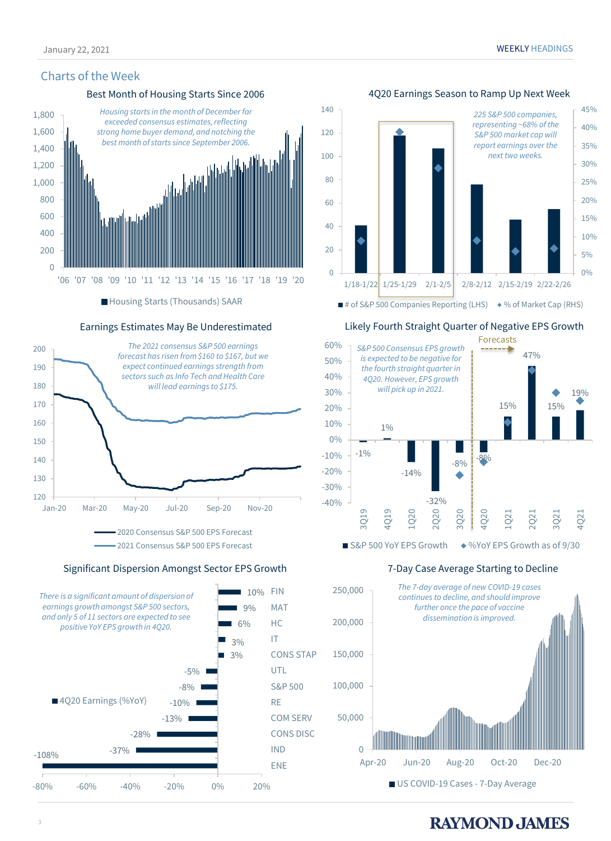#### Charts of the Week

#### Best Month of Housing Starts Since 2006 4Q20 Earnings Season to Ramp Up Next Week



■ Housing Starts (Thousands) SAAR

#### Earnings Estimates May Be Underestimated



Significant Dispersion Amongst Sector EPS Growth





Likely Fourth Straight Quarter of Negative EPS Growth



 $\blacksquare$  S&P 500 YoY EPS Growth  $\blacklozenge$  %YoY EPS Growth as of 9/30

#### 7-Day Case Average Starting to Decline



### **RAYMOND JAMES**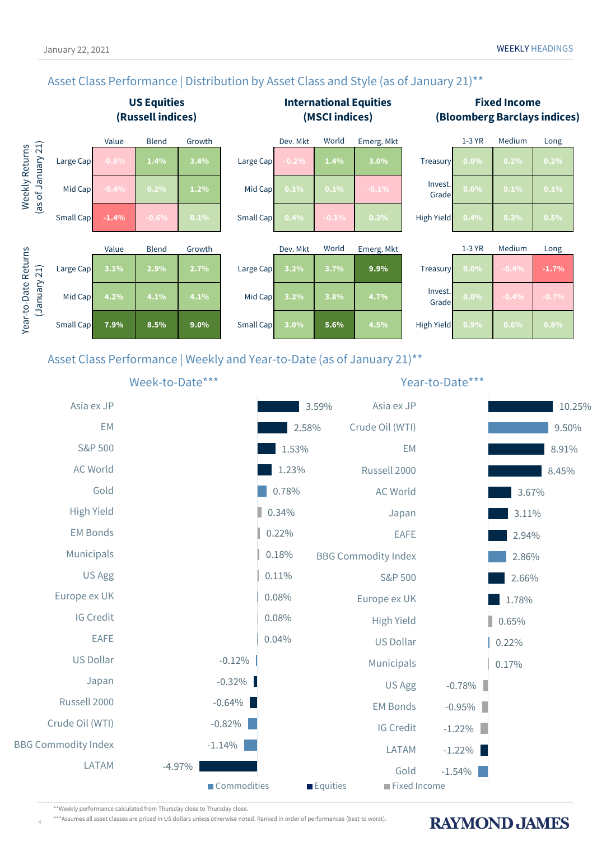### Asset Class Performance | Distribution by Asset Class and Style (as of January 21)<sup>\*\*</sup>





\*\*Weekly performance calculated from Thursday close to Thursday close.

4

\*\*\*Assumes all asset classes are priced in US dollars unless otherwise noted. Ranked in order of performances (best to worst).

### **RAYMOND JAMES**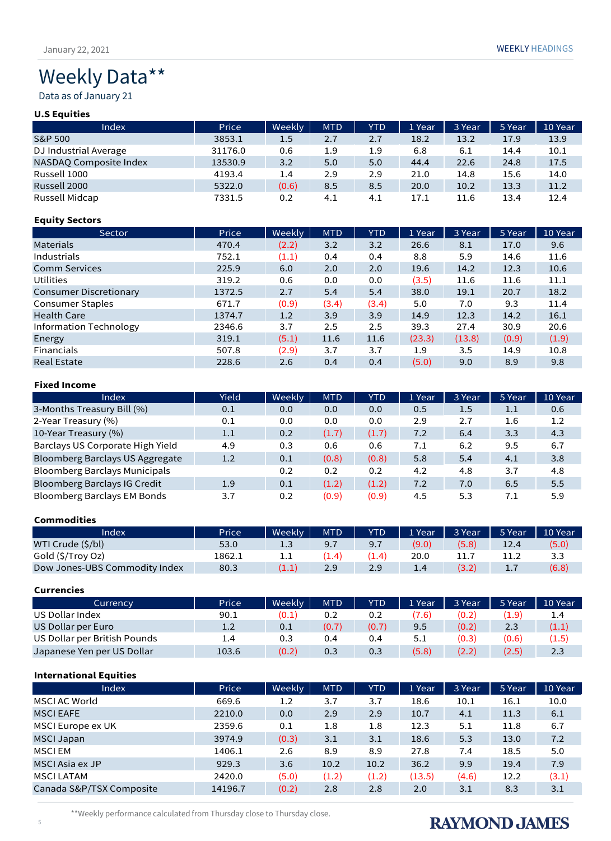# Weekly Data\*\*

Data as of January 21

#### **U.S Equities**

| Index                  | Price   | Weekly | <b>MTD</b> | <b>YTD</b> | 1 Year | 3 Year | 5 Year | 10 Year |
|------------------------|---------|--------|------------|------------|--------|--------|--------|---------|
| S&P 500                | 3853.1  | 1.5    | 2.7        | 2.7        | 18.2   | 13.2   | 17.9   | 13.9    |
| DJ Industrial Average  | 31176.0 | 0.6    | 1.9        | 1.9        | 6.8    | 6.1    | 14.4   | 10.1    |
| NASDAQ Composite Index | 13530.9 | 3.2    | 5.0        | 5.0        | 44.4   | 22.6   | 24.8   | 17.5    |
| Russell 1000           | 4193.4  | 1.4    | 2.9        | 2.9        | 21.0   | 14.8   | 15.6   | 14.0    |
| Russell 2000           | 5322.0  | (0.6)  | 8.5        | 8.5        | 20.0   | 10.2   | 13.3   | 11.2    |
| Russell Midcap         | 7331.5  | 0.2    | 4.1        | 4.1        | 17.1   | 11.6   | 13.4   | 12.4    |

#### **Equity Sectors**

| Sector                        | Price  | Weekly | <b>MTD</b> | YTD   | 1 Year | 3 Year | 5 Year | 10 Year |
|-------------------------------|--------|--------|------------|-------|--------|--------|--------|---------|
| <b>Materials</b>              | 470.4  | (2.2)  | 3.2        | 3.2   | 26.6   | 8.1    | 17.0   | 9.6     |
| Industrials                   | 752.1  | (1.1)  | 0.4        | 0.4   | 8.8    | 5.9    | 14.6   | 11.6    |
| <b>Comm Services</b>          | 225.9  | 6.0    | 2.0        | 2.0   | 19.6   | 14.2   | 12.3   | 10.6    |
| <b>Utilities</b>              | 319.2  | 0.6    | 0.0        | 0.0   | (3.5)  | 11.6   | 11.6   | 11.1    |
| <b>Consumer Discretionary</b> | 1372.5 | 2.7    | 5.4        | 5.4   | 38.0   | 19.1   | 20.7   | 18.2    |
| <b>Consumer Staples</b>       | 671.7  | (0.9)  | (3.4)      | (3.4) | 5.0    | 7.0    | 9.3    | 11.4    |
| <b>Health Care</b>            | 1374.7 | 1.2    | 3.9        | 3.9   | 14.9   | 12.3   | 14.2   | 16.1    |
| Information Technology        | 2346.6 | 3.7    | 2.5        | 2.5   | 39.3   | 27.4   | 30.9   | 20.6    |
| Energy                        | 319.1  | (5.1)  | 11.6       | 11.6  | (23.3) | (13.8) | (0.9)  | (1.9)   |
| <b>Financials</b>             | 507.8  | (2.9)  | 3.7        | 3.7   | 1.9    | 3.5    | 14.9   | 10.8    |
| <b>Real Estate</b>            | 228.6  | 2.6    | 0.4        | 0.4   | (5.0)  | 9.0    | 8.9    | 9.8     |

#### **Fixed Income**

| Index                                | Yield | Weekly | <b>MTD</b> | YTD   | 1 Year | 3 Year | 5 Year  | 10 Year |
|--------------------------------------|-------|--------|------------|-------|--------|--------|---------|---------|
| 3-Months Treasury Bill (%)           | 0.1   | 0.0    | 0.0        | 0.0   | 0.5    | 1.5    | $1.1\,$ | 0.6     |
| 2-Year Treasury (%)                  | 0.1   | 0.0    | 0.0        | 0.0   | 2.9    | 2.7    | 1.6     | $1.2\,$ |
| 10-Year Treasury (%)                 | 1.1   | 0.2    | (1.7)      | (1.7) | 7.2    | 6.4    | 3.3     | 4.3     |
| Barclays US Corporate High Yield     | 4.9   | 0.3    | 0.6        | 0.6   | 7.1    | 6.2    | 9.5     | 6.7     |
| Bloomberg Barclays US Aggregate      | 1.2   | 0.1    | (0.8)      | (0.8) | 5.8    | 5.4    | 4.1     | 3.8     |
| <b>Bloomberg Barclays Municipals</b> |       | 0.2    | 0.2        | 0.2   | 4.2    | 4.8    | 3.7     | 4.8     |
| <b>Bloomberg Barclays IG Credit</b>  | 1.9   | 0.1    | (1.2)      | (1.2) | 7.2    | 7.0    | 6.5     | 5.5     |
| Bloomberg Barclays EM Bonds          | 3.7   | 0.2    | (0.9)      | (0.9) | 4.5    | 5.3    | 7.1     | 5.9     |

#### **Commodities**

| Index                         | Price  | Weekly             | <b>MTD</b> | YTD   | 1 Year | 3 Year | 5 Year    | 10 Year |
|-------------------------------|--------|--------------------|------------|-------|--------|--------|-----------|---------|
| WTI Crude (\$/bl)             | 53.0   | 1.3                | 9.7        | 9.7   | (9.0)  | (5.8)  | 12.4      | (5.0)   |
| Gold (\$/Troy Oz)             | 1862.1 | 1.1                | (1.4)      | (1.4) | 20.0   |        |           | 3.3     |
| Dow Jones-UBS Commodity Index | 80.3   | $\left(1.1\right)$ | 2.9        | 2.9   |        |        | <b>1.</b> | (6.8)   |

#### **Currencies**

| Currency                     | Price   | Weekly | <b>MTD</b> | YTD   | 1 Year | 3 Year | 5 Year | 10 Year |
|------------------------------|---------|--------|------------|-------|--------|--------|--------|---------|
| US Dollar Index              | 90.1    | (0.1)  | 0.2        | 0.2   | (7.6)  | (0.2)  | (1.9)  | 1.4     |
| US Dollar per Euro           | $1.2\,$ | 0.1    | (0.7)      | (0.7) | 9.5    | (0.2)  | 2.3    | (1.1)   |
| US Dollar per British Pounds | 1.4     | 0.3    | 0.4        | 0.4   | 5.1    | (0.3)  | (0.6)  | (1.5)   |
| Japanese Yen per US Dollar   | 103.6   | (0.2)  | 0.3        | 0.3   | (5.8)  | (2.2)  | (2.5)  | 2.3     |

#### **International Equities**

| Index                    | Price   | Weekly | <b>MTD</b> | YTD   | 1 Year | 3 Year | 5 Year | 10 Year |
|--------------------------|---------|--------|------------|-------|--------|--------|--------|---------|
| MSCI AC World            | 669.6   | 1.2    | 3.7        | 3.7   | 18.6   | 10.1   | 16.1   | 10.0    |
| <b>MSCI EAFE</b>         | 2210.0  | 0.0    | 2.9        | 2.9   | 10.7   | 4.1    | 11.3   | 6.1     |
| MSCI Europe ex UK        | 2359.6  | 0.1    | 1.8        | 1.8   | 12.3   | 5.1    | 11.8   | 6.7     |
| <b>MSCI Japan</b>        | 3974.9  | (0.3)  | 3.1        | 3.1   | 18.6   | 5.3    | 13.0   | 7.2     |
| <b>MSCIEM</b>            | 1406.1  | 2.6    | 8.9        | 8.9   | 27.8   | 7.4    | 18.5   | 5.0     |
| MSCI Asia ex JP          | 929.3   | 3.6    | 10.2       | 10.2  | 36.2   | 9.9    | 19.4   | 7.9     |
| <b>MSCI LATAM</b>        | 2420.0  | (5.0)  | (1.2)      | (1.2) | (13.5) | (4.6)  | 12.2   | (3.1)   |
| Canada S&P/TSX Composite | 14196.7 | (0.2)  | 2.8        | 2.8   | 2.0    | 3.1    | 8.3    | 3.1     |

\*\*Weekly performance calculated from Thursday close to Thursday close.

## **RAYMOND JAMES**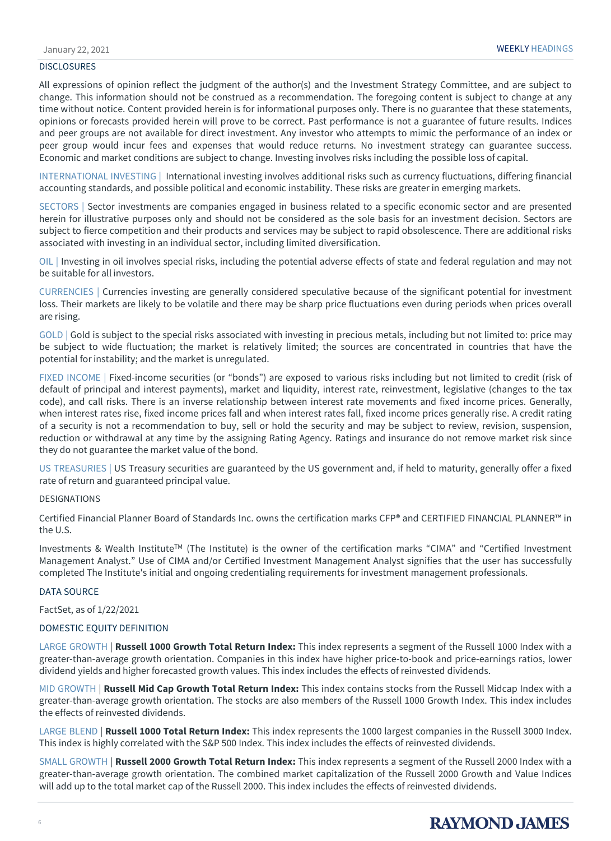#### **DISCLOSURES**

All expressions of opinion reflect the judgment of the author(s) and the Investment Strategy Committee, and are subject to change. This information should not be construed as a recommendation. The foregoing content is subject to change at any time without notice. Content provided herein is for informational purposes only. There is no guarantee that these statements, opinions or forecasts provided herein will prove to be correct. Past performance is not a guarantee of future results. Indices and peer groups are not available for direct investment. Any investor who attempts to mimic the performance of an index or peer group would incur fees and expenses that would reduce returns. No investment strategy can guarantee success. Economic and market conditions are subject to change. Investing involves risks including the possible loss of capital.

INTERNATIONAL INVESTING | International investing involves additional risks such as currency fluctuations, differing financial accounting standards, and possible political and economic instability. These risks are greater in emerging markets.

SECTORS | Sector investments are companies engaged in business related to a specific economic sector and are presented herein for illustrative purposes only and should not be considered as the sole basis for an investment decision. Sectors are subject to fierce competition and their products and services may be subject to rapid obsolescence. There are additional risks associated with investing in an individual sector, including limited diversification.

OIL | Investing in oil involves special risks, including the potential adverse effects of state and federal regulation and may not be suitable for all investors.

CURRENCIES | Currencies investing are generally considered speculative because of the significant potential for investment loss. Their markets are likely to be volatile and there may be sharp price fluctuations even during periods when prices overall are rising.

GOLD | Gold is subject to the special risks associated with investing in precious metals, including but not limited to: price may be subject to wide fluctuation; the market is relatively limited; the sources are concentrated in countries that have the potential for instability; and the market is unregulated.

FIXED INCOME | Fixed-income securities (or "bonds") are exposed to various risks including but not limited to credit (risk of default of principal and interest payments), market and liquidity, interest rate, reinvestment, legislative (changes to the tax code), and call risks. There is an inverse relationship between interest rate movements and fixed income prices. Generally, when interest rates rise, fixed income prices fall and when interest rates fall, fixed income prices generally rise. A credit rating of a security is not a recommendation to buy, sell or hold the security and may be subject to review, revision, suspension, reduction or withdrawal at any time by the assigning Rating Agency. Ratings and insurance do not remove market risk since they do not guarantee the market value of the bond.

US TREASURIES | US Treasury securities are guaranteed by the US government and, if held to maturity, generally offer a fixed rate of return and guaranteed principal value.

#### DESIGNATIONS

Certified Financial Planner Board of Standards Inc. owns the certification marks CFP® and CERTIFIED FINANCIAL PLANNER™ in the U.S.

Investments & Wealth InstituteTM (The Institute) is the owner of the certification marks "CIMA" and "Certified Investment Management Analyst." Use of CIMA and/or Certified Investment Management Analyst signifies that the user has successfully completed The Institute's initial and ongoing credentialing requirements for investment management professionals.

#### DATA SOURCE

FactSet, as of 1/22/2021

#### DOMESTIC EQUITY DEFINITION

LARGE GROWTH | **Russell 1000 Growth Total Return Index:** This index represents a segment of the Russell 1000 Index with a greater-than-average growth orientation. Companies in this index have higher price-to-book and price-earnings ratios, lower dividend yields and higher forecasted growth values. This index includes the effects of reinvested dividends.

MID GROWTH | **Russell Mid Cap Growth Total Return Index:** This index contains stocks from the Russell Midcap Index with a greater-than-average growth orientation. The stocks are also members of the Russell 1000 Growth Index. This index includes the effects of reinvested dividends.

LARGE BLEND | **Russell 1000 Total Return Index:** This index represents the 1000 largest companies in the Russell 3000 Index. This index is highly correlated with the S&P 500 Index. This index includes the effects of reinvested dividends.

SMALL GROWTH | **Russell 2000 Growth Total Return Index:** This index represents a segment of the Russell 2000 Index with a greater-than-average growth orientation. The combined market capitalization of the Russell 2000 Growth and Value Indices will add up to the total market cap of the Russell 2000. This index includes the effects of reinvested dividends.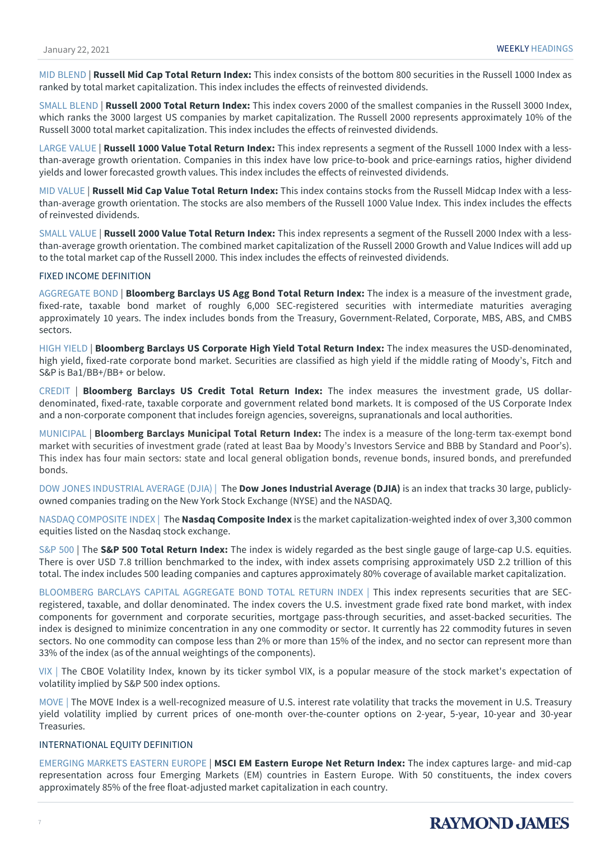MID BLEND | **Russell Mid Cap Total Return Index:** This index consists of the bottom 800 securities in the Russell 1000 Index as ranked by total market capitalization. This index includes the effects of reinvested dividends.

SMALL BLEND | **Russell 2000 Total Return Index:** This index covers 2000 of the smallest companies in the Russell 3000 Index, which ranks the 3000 largest US companies by market capitalization. The Russell 2000 represents approximately 10% of the Russell 3000 total market capitalization. This index includes the effects of reinvested dividends.

LARGE VALUE | **Russell 1000 Value Total Return Index:** This index represents a segment of the Russell 1000 Index with a lessthan-average growth orientation. Companies in this index have low price-to-book and price-earnings ratios, higher dividend yields and lower forecasted growth values. This index includes the effects of reinvested dividends.

MID VALUE | **Russell Mid Cap Value Total Return Index:** This index contains stocks from the Russell Midcap Index with a lessthan-average growth orientation. The stocks are also members of the Russell 1000 Value Index. This index includes the effects of reinvested dividends.

SMALL VALUE | **Russell 2000 Value Total Return Index:** This index represents a segment of the Russell 2000 Index with a lessthan-average growth orientation. The combined market capitalization of the Russell 2000 Growth and Value Indices will add up to the total market cap of the Russell 2000. This index includes the effects of reinvested dividends.

#### FIXED INCOME DEFINITION

AGGREGATE BOND | **Bloomberg Barclays US Agg Bond Total Return Index:** The index is a measure of the investment grade, fixed-rate, taxable bond market of roughly 6,000 SEC-registered securities with intermediate maturities averaging approximately 10 years. The index includes bonds from the Treasury, Government-Related, Corporate, MBS, ABS, and CMBS sectors.

HIGH YIELD | **Bloomberg Barclays US Corporate High Yield Total Return Index:** The index measures the USD-denominated, high yield, fixed-rate corporate bond market. Securities are classified as high yield if the middle rating of Moody's, Fitch and S&P is Ba1/BB+/BB+ or below.

CREDIT | **Bloomberg Barclays US Credit Total Return Index:** The index measures the investment grade, US dollardenominated, fixed-rate, taxable corporate and government related bond markets. It is composed of the US Corporate Index and a non-corporate component that includes foreign agencies, sovereigns, supranationals and local authorities.

MUNICIPAL | **Bloomberg Barclays Municipal Total Return Index:** The index is a measure of the long-term tax-exempt bond market with securities of investment grade (rated at least Baa by Moody's Investors Service and BBB by Standard and Poor's). This index has four main sectors: state and local general obligation bonds, revenue bonds, insured bonds, and prerefunded bonds.

DOW JONES INDUSTRIAL AVERAGE (DJIA) | The **Dow Jones Industrial Average (DJIA)** is an index that tracks 30 large, publiclyowned companies trading on the New York Stock Exchange (NYSE) and the NASDAQ.

NASDAQ COMPOSITE INDEX | The **Nasdaq Composite Index** is the market capitalization-weighted index of over 3,300 common equities listed on the Nasdaq stock exchange.

S&P 500 | The **S&P 500 Total Return Index:** The index is widely regarded as the best single gauge of large-cap U.S. equities. There is over USD 7.8 trillion benchmarked to the index, with index assets comprising approximately USD 2.2 trillion of this total. The index includes 500 leading companies and captures approximately 80% coverage of available market capitalization.

BLOOMBERG BARCLAYS CAPITAL AGGREGATE BOND TOTAL RETURN INDEX | This index represents securities that are SECregistered, taxable, and dollar denominated. The index covers the U.S. investment grade fixed rate bond market, with index components for government and corporate securities, mortgage pass-through securities, and asset-backed securities. The index is designed to minimize concentration in any one commodity or sector. It currently has 22 commodity futures in seven sectors. No one commodity can compose less than 2% or more than 15% of the index, and no sector can represent more than 33% of the index (as of the annual weightings of the components).

VIX | The CBOE Volatility Index, known by its ticker symbol VIX, is a popular measure of the stock market's expectation of volatility implied by S&P 500 index options.

MOVE | The MOVE Index is a well-recognized measure of U.S. interest rate volatility that tracks the movement in U.S. Treasury yield volatility implied by current prices of one-month over-the-counter options on 2-year, 5-year, 10-year and 30-year Treasuries.

#### INTERNATIONAL EQUITY DEFINITION

EMERGING MARKETS EASTERN EUROPE | **MSCI EM Eastern Europe Net Return Index:** The index captures large- and mid-cap representation across four Emerging Markets (EM) countries in Eastern Europe. With 50 constituents, the index covers approximately 85% of the free float-adjusted market capitalization in each country.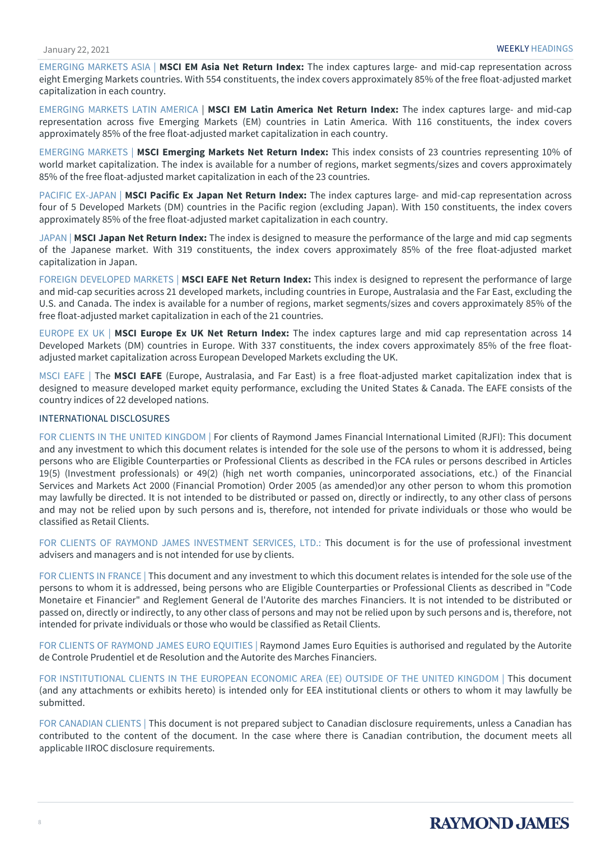EMERGING MARKETS ASIA | **MSCI EM Asia Net Return Index:** The index captures large- and mid-cap representation across eight Emerging Markets countries. With 554 constituents, the index covers approximately 85% of the free float-adjusted market capitalization in each country.

EMERGING MARKETS LATIN AMERICA | **MSCI EM Latin America Net Return Index:** The index captures large- and mid-cap representation across five Emerging Markets (EM) countries in Latin America. With 116 constituents, the index covers approximately 85% of the free float-adjusted market capitalization in each country.

EMERGING MARKETS | **MSCI Emerging Markets Net Return Index:** This index consists of 23 countries representing 10% of world market capitalization. The index is available for a number of regions, market segments/sizes and covers approximately 85% of the free float-adjusted market capitalization in each of the 23 countries.

PACIFIC EX-JAPAN | **MSCI Pacific Ex Japan Net Return Index:** The index captures large- and mid-cap representation across four of 5 Developed Markets (DM) countries in the Pacific region (excluding Japan). With 150 constituents, the index covers approximately 85% of the free float-adjusted market capitalization in each country.

JAPAN | **MSCI Japan Net Return Index:** The index is designed to measure the performance of the large and mid cap segments of the Japanese market. With 319 constituents, the index covers approximately 85% of the free float-adjusted market capitalization in Japan.

FOREIGN DEVELOPED MARKETS | **MSCI EAFE Net Return Index:** This index is designed to represent the performance of large and mid-cap securities across 21 developed markets, including countries in Europe, Australasia and the Far East, excluding the U.S. and Canada. The index is available for a number of regions, market segments/sizes and covers approximately 85% of the free float-adjusted market capitalization in each of the 21 countries.

EUROPE EX UK | **MSCI Europe Ex UK Net Return Index:** The index captures large and mid cap representation across 14 Developed Markets (DM) countries in Europe. With 337 constituents, the index covers approximately 85% of the free floatadjusted market capitalization across European Developed Markets excluding the UK.

MSCI EAFE | The **MSCI EAFE** (Europe, Australasia, and Far East) is a free float-adjusted market capitalization index that is designed to measure developed market equity performance, excluding the United States & Canada. The EAFE consists of the country indices of 22 developed nations.

#### INTERNATIONAL DISCLOSURES

FOR CLIENTS IN THE UNITED KINGDOM | For clients of Raymond James Financial International Limited (RJFI): This document and any investment to which this document relates is intended for the sole use of the persons to whom it is addressed, being persons who are Eligible Counterparties or Professional Clients as described in the FCA rules or persons described in Articles 19(5) (Investment professionals) or 49(2) (high net worth companies, unincorporated associations, etc.) of the Financial Services and Markets Act 2000 (Financial Promotion) Order 2005 (as amended)or any other person to whom this promotion may lawfully be directed. It is not intended to be distributed or passed on, directly or indirectly, to any other class of persons and may not be relied upon by such persons and is, therefore, not intended for private individuals or those who would be classified as Retail Clients.

FOR CLIENTS OF RAYMOND JAMES INVESTMENT SERVICES, LTD.: This document is for the use of professional investment advisers and managers and is not intended for use by clients.

FOR CLIENTS IN FRANCE | This document and any investment to which this document relates is intended for the sole use of the persons to whom it is addressed, being persons who are Eligible Counterparties or Professional Clients as described in "Code Monetaire et Financier" and Reglement General de l'Autorite des marches Financiers. It is not intended to be distributed or passed on, directly or indirectly, to any other class of persons and may not be relied upon by such persons and is, therefore, not intended for private individuals or those who would be classified as Retail Clients.

FOR CLIENTS OF RAYMOND JAMES EURO EQUITIES | Raymond James Euro Equities is authorised and regulated by the Autorite de Controle Prudentiel et de Resolution and the Autorite des Marches Financiers.

FOR INSTITUTIONAL CLIENTS IN THE EUROPEAN ECONOMIC AREA (EE) OUTSIDE OF THE UNITED KINGDOM | This document (and any attachments or exhibits hereto) is intended only for EEA institutional clients or others to whom it may lawfully be submitted.

FOR CANADIAN CLIENTS | This document is not prepared subject to Canadian disclosure requirements, unless a Canadian has contributed to the content of the document. In the case where there is Canadian contribution, the document meets all applicable IIROC disclosure requirements.